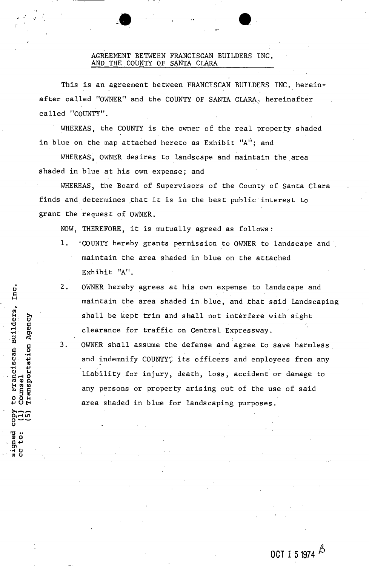## AGREEMENT BETWEEN FRANCISCAN BUILDERS INC. AND THE COUNTY OF SANTA CLARA

This is an agreement between FRANCISCAN BUILDERS INC. hereinafter called "OWNER" and the COUNTY OF SANTA CLARA, hereinafter called "COUNTY".

WHEREAS, the COUNTY is the owner of the real property shaded in blue on the map attached hereto as Exhibit  $'A''$ ; and

WHEREAS, OWNER desires to landscape and maintain the area shaded in blue at his own expense; and

WHEREAS, the Board of Supervisors of the County of Santa Clara finds and determines that it is in the best public interest to grant the request of OWNER.

NOW, THEREFORE, it is mutually agreed as follows:

- 1. "COUNTY hereby grants permission to OWNER to landscape and maintain the area shaded in blue on the attached Exhibit "A".
- 2. OWNER hereby agrees at his own expense to landscape and maintain the area shaded in blue, and that said landscaping shall be kept trim and shall not interfere with sight clearance for traffic on Central Expressway.
- 3. OWNER shall assume the defense and agree to save harmless and indemnify COUNTY; its officers and employees from any liability for injury, death, loss, accident or damage to any persons or property arising out of the use of said area shaded in blue for landscaping purposes.

Pransportation Agency signed<br>cc to:

Inc.

*r*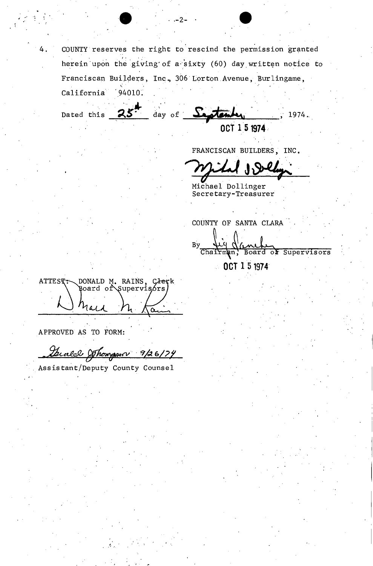COUNTY reserves the right to rescind the permission granted herein upon the giving of a sixty (60) day written notice to Franciscan Builders, Inc., 306 Lorton Avenue, Burlingame,

 $-2-$ 

day of  $S$ 1974.

OCT 1 5 1974

FRANCISCAN BUILDERS, INC.

Michael Dollinger Secretary-Treasurer

COUNTY OF SANTA CLARA

By Chairman, Board of Supervisors OCT 1 5 1974 Å.

DONALD M. RAINS, Clerk ATTEST: hald

94010.

California

Dated this

APPROVED AS TO FORM:

Guald Shompson 9/26/74

Assistant/Deputy County Counsel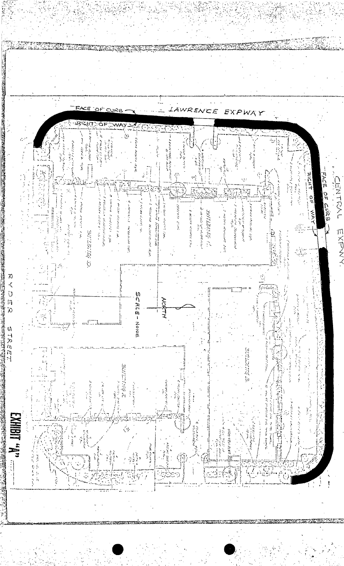WRENCE E ΧP Y. VB)  $\begin{split} \mathcal{L}^{(1)}(A) \leq \mathcal{L}^{(1)}(A) \leq \mathcal{L}^{(1)}(A) \leq \mathcal{L}^{(1)}(A) \leq \mathcal{L}^{(1)}(A) \leq \mathcal{L}^{(1)}(A) \leq \mathcal{L}^{(1)}(A) \leq \mathcal{L}^{(1)}(A) \leq \mathcal{L}^{(1)}(A) \leq \mathcal{L}^{(1)}(A) \leq \mathcal{L}^{(1)}(A) \leq \mathcal{L}^{(1)}(A) \leq \mathcal{L}^{(1)}(A) \leq \mathcal{L}^{$ Carter Revised & しゅんきょう きんきょう こうかい arba atomaty time i sana kecamatan ing kabupatèn Kabupatèn Kabupatèn Kabupatèn Kabupatèn Kabupatèn Kabupatèn Kabupatèn Kabupatèn ا جغير و المعاطية المعارضة  $\widehat{\zeta}$ しょうしん きゅうせい RICHT FACE OF CURBIT **CENTRAL**  $\widehat{\mathcal{C}}$ نف<br>به 足尘 けいしょく かいこく アイディア  $\mathbb{R}^4$ **Service Service Service Control** 医无子宫 医多种感觉 医麻醉 医二乙基  $\label{eq:4} \Theta_{\alpha}(\mathcal{B}^{\alpha\beta}_{\alpha\beta}(\mathcal{D}_{\alpha}^{\beta}(\mathcal{D}_{\beta}^{\beta}(\mathcal{D}^{\beta}(\mathcal{D}^{\beta}(\mathcal{D}^{\beta}(\mathcal{D}^{\beta}(\mathcal{D}^{\beta}(\mathcal{D}^{\beta}(\mathcal{D}^{\beta}(\mathcal{D}^{\beta}(\mathcal{D}^{\beta}(\mathcal{D}^{\beta}(\mathcal{D}^{\beta}(\mathcal{D}^{\beta}(\mathcal{D}^{\beta}(\mathcal{D}^{\beta}(\mathcal{D}^{\beta}(\mathcal{D}^{\beta}(\mathcal{$ ā 医生物 医血管麻醉 しんしゅう こうけいさん せいてんじゅう The contraction of the second second  $\mathcal{L}_\text{c}$  $\frac{0}{\pi}$ **First Management of the Control of Society** of and momental and しきかいえきり りちょう しょう **THE CONVENTION**  $\label{eq:2.1} \begin{split} \mathcal{L}_{\mathcal{A}}(\mathcal{A}) = \mathcal{L}_{\mathcal{A}}(\mathcal{A}) = \mathcal{L}_{\mathcal{A}}(\mathcal{A}) = \mathcal{L}_{\mathcal{A}}(\mathcal{A}) = \mathcal{L}_{\mathcal{A}}(\mathcal{A}) = \mathcal{L}_{\mathcal{A}}(\mathcal{A}) = \mathcal{L}_{\mathcal{A}}(\mathcal{A}) = \mathcal{L}_{\mathcal{A}}(\mathcal{A}) = \mathcal{L}_{\mathcal{A}}(\mathcal{A}) = \mathcal{L}_{\mathcal{A}}(\mathcal{A}) = \mathcal{L}_{\mathcal{A}}(\mathcal{$ ה היו המכונה המוניקה המוניקה את היו היו לא היו מוניקה היו לא היו היו לא היו היו לא היו לא היו לא היו לא היו לא<br>היו לא היו לא היו לא היו לא היו לא היו לא היו לא היו לא היו לא היו לא היו לא היו לא היו לא היו לא היו לא היו ל ender de la seg diale formation and the company **The President American Property of the American Property WATER CRAINS ROOM AT STATE** production of production of on A highly concert the 2012年12月11日 . The present are also as the first くくく р Биатла  $\mathcal{L}$ 小さん in lin  $\label{eq:2} \begin{split} \mathcal{L}_{\mathcal{A}}(\mathcal{A}_{\mathcal{A}}) = \mathcal{L}_{\mathcal{A}}(\mathcal{A}_{\mathcal{A}}) \end{split}$ mxdxx C 2010TING 医无线性 计可变变 annan<br>Marwolaethau  $\frac{1}{\sqrt{2}}$ 御客様の にっぽん こうしゃ あいこう こうしょう 2人の **SCALE-None** 医血管病 医葡萄糖 discussion in χΟ  $\frac{1}{\sqrt{2}}\int_{0}^{\sqrt{2}}\frac{1}{\sqrt{2}}\left(\frac{1}{\sqrt{2}}\right)^{2}e^{-\frac{1}{2}}\left(\frac{1}{\sqrt{2}}\right)^{2}e^{-\frac{1}{2}}\left(\frac{1}{\sqrt{2}}\right)^{2}e^{-\frac{1}{2}}\left(\frac{1}{\sqrt{2}}\right)^{2}e^{-\frac{1}{2}}\left(\frac{1}{\sqrt{2}}\right)^{2}e^{-\frac{1}{2}}\left(\frac{1}{\sqrt{2}}\right)^{2}e^{-\frac{1}{2}}\left(\frac{1}{\sqrt{2}}\right)^{2}e^{-\frac{1}{2}}$ ķ ade:  $\bar{\lambda}$ 一家 STREET **RESERVED** 有法院通常及行为条件 **ENGINEERS** 医血管炎 医中间的 ひとうしん アクセス あいしょう アイ・ディアンス ķ, i.<br>N **Market Street, School** 机电荷 医直肠反应 医前列腺炎 计数字符 医高管 清華 医囊 きょう ひょうせいたん **不可以 的复数 的复数人名德里克** 开具体 どうこうしょ **Companyation** ļ. 學家家族 中国地理 ا سان<br>ا **SANCHORN DESCRIPTION** 计分类 电电子传导  $\ddot{a}$ ä  $\mathcal{L}(\mathcal{L})$ į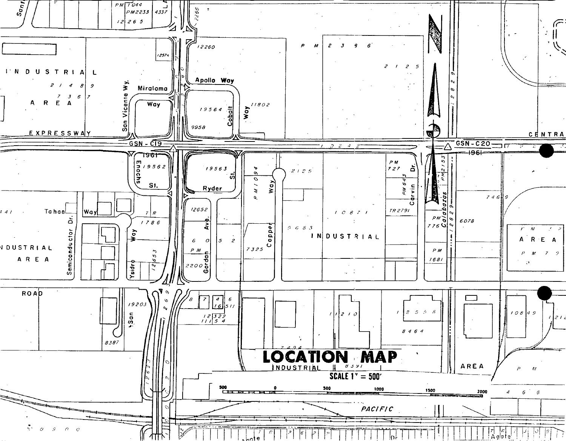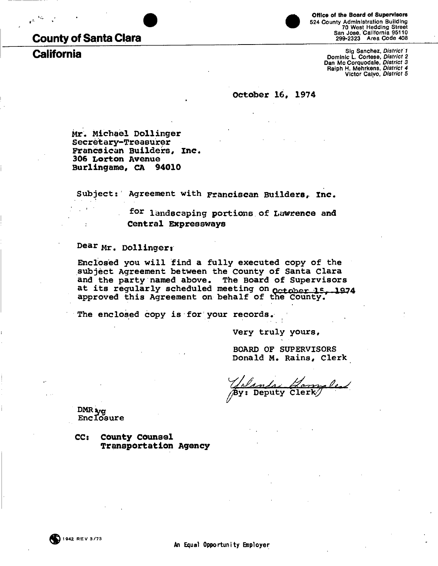## **County of Santa Clara**

**California** 



Office of the Board of Supervisors 524 County Administration Building<br>70 West Hedding Street<br>8an Jose, California 95110<br>299-2323 Area Code 408

Sig Sanchez, District 1<br>Dominic L. Cortese, District 2<br>Dan Mc Corquodale, District 3<br>Raiph H. Mehrkens, District 4<br>Victor Calvo, District 5

October 16, 1974

Mr. Michael Dollinger Secretary-Treasurer Francsican Builders, Inc. 306 Lorton Avenue Burlingame, CA 94010

Subject: Agreement with Franciscan Builders, Inc.

for landscaping portions of Lawrence and Central Expressways

Dear Mr. Dollinger:

Enclosed you will find a fully executed copy of the subject Agreement between the County of Santa Clara and the party named above. The Board of Supervisors at its regularly scheduled meeting on october 15. 1974 approved this Agreement on behalf of the County.

The enclosed copy is for your records.

Very truly yours,

**BOARD OF SUPERVISORS** Donald M. Rains, Clerk

Deputy

DMR<sub>xy</sub>g Enclosure

 $CC:$ County Counsel **Transportation Agency**